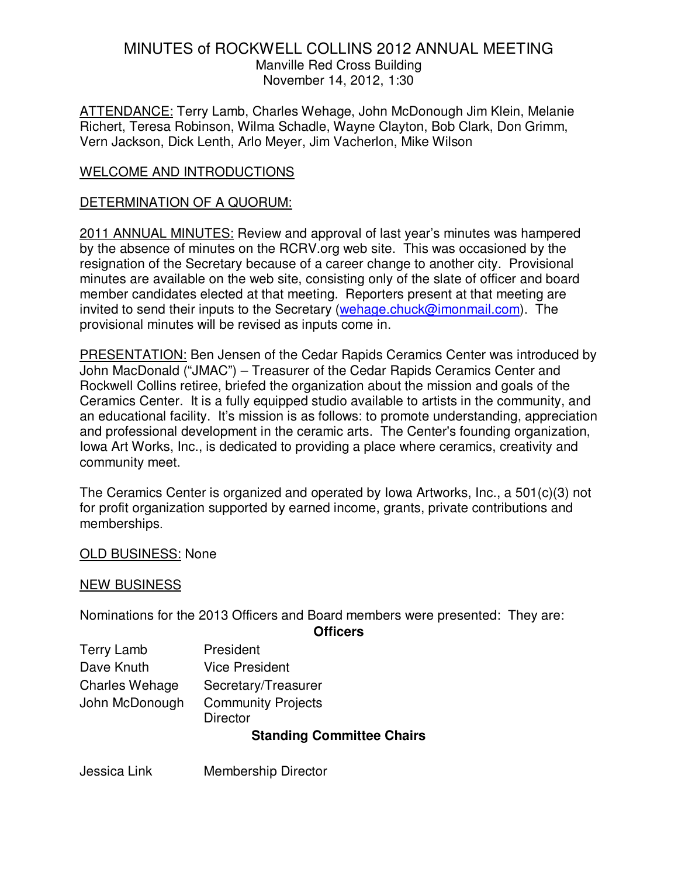ATTENDANCE: Terry Lamb, Charles Wehage, John McDonough Jim Klein, Melanie Richert, Teresa Robinson, Wilma Schadle, Wayne Clayton, Bob Clark, Don Grimm, Vern Jackson, Dick Lenth, Arlo Meyer, Jim Vacherlon, Mike Wilson

### WELCOME AND INTRODUCTIONS

#### DETERMINATION OF A QUORUM:

2011 ANNUAL MINUTES: Review and approval of last year's minutes was hampered by the absence of minutes on the RCRV.org web site. This was occasioned by the resignation of the Secretary because of a career change to another city. Provisional minutes are available on the web site, consisting only of the slate of officer and board member candidates elected at that meeting. Reporters present at that meeting are invited to send their inputs to the Secretary (wehage.chuck@imonmail.com). The provisional minutes will be revised as inputs come in.

PRESENTATION: Ben Jensen of the Cedar Rapids Ceramics Center was introduced by John MacDonald ("JMAC") – Treasurer of the Cedar Rapids Ceramics Center and Rockwell Collins retiree, briefed the organization about the mission and goals of the Ceramics Center. It is a fully equipped studio available to artists in the community, and an educational facility. It's mission is as follows: to promote understanding, appreciation and professional development in the ceramic arts. The Center's founding organization, Iowa Art Works, Inc., is dedicated to providing a place where ceramics, creativity and community meet.

The Ceramics Center is organized and operated by Iowa Artworks, Inc., a 501(c)(3) not for profit organization supported by earned income, grants, private contributions and memberships.

#### OLD BUSINESS: None

#### NEW BUSINESS

Nominations for the 2013 Officers and Board members were presented: They are:

**Officers** 

| <b>Terry Lamb</b>     | President                                    |
|-----------------------|----------------------------------------------|
| Dave Knuth            | <b>Vice President</b>                        |
| <b>Charles Wehage</b> | Secretary/Treasurer                          |
| John McDonough        | <b>Community Projects</b><br><b>Director</b> |

#### **Standing Committee Chairs**

Jessica Link Membership Director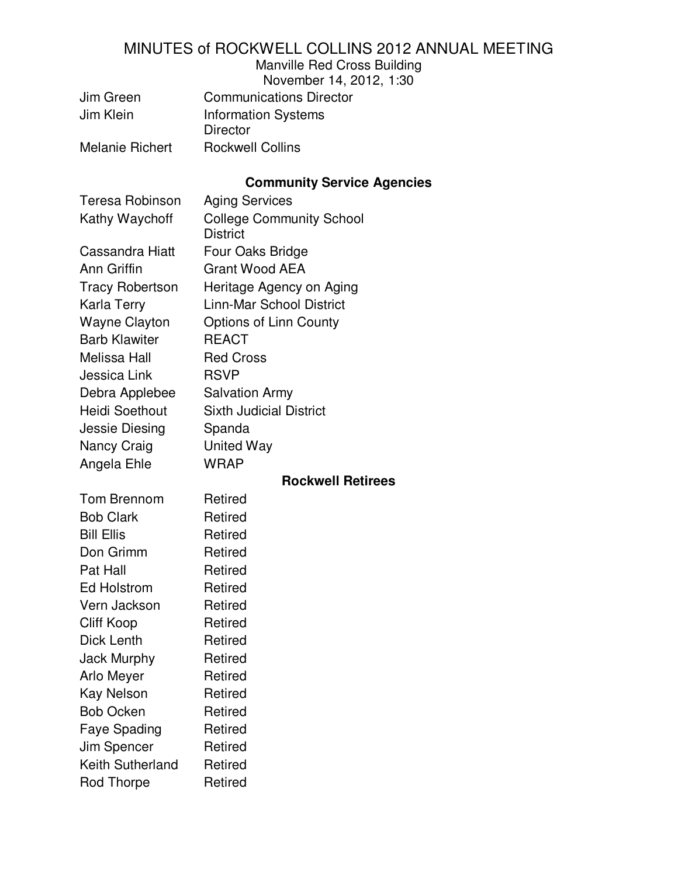Manville Red Cross Building

| November 14, 2012, 1:30 |  |  |  |
|-------------------------|--|--|--|
|-------------------------|--|--|--|

| Jim Green              | <b>Communications Director</b> |
|------------------------|--------------------------------|
| Jim Klein              | <b>Information Systems</b>     |
|                        | <b>Director</b>                |
| <b>Melanie Richert</b> | <b>Rockwell Collins</b>        |

# **Community Service Agencies**

| <b>Teresa Robinson</b> | <b>Aging Services</b>                              |
|------------------------|----------------------------------------------------|
| Kathy Waychoff         | <b>College Community School</b><br><b>District</b> |
| Cassandra Hiatt        | Four Oaks Bridge                                   |
| Ann Griffin            | <b>Grant Wood AEA</b>                              |
| <b>Tracy Robertson</b> | Heritage Agency on Aging                           |
| Karla Terry            | <b>Linn-Mar School District</b>                    |
| <b>Wayne Clayton</b>   | Options of Linn County                             |
| <b>Barb Klawiter</b>   | <b>REACT</b>                                       |
| <b>Melissa Hall</b>    | <b>Red Cross</b>                                   |
| Jessica Link           | <b>RSVP</b>                                        |
| Debra Applebee         | <b>Salvation Army</b>                              |
| <b>Heidi Soethout</b>  | <b>Sixth Judicial District</b>                     |
| Jessie Diesing         | Spanda                                             |
| Nancy Craig            | <b>United Way</b>                                  |
| Angela Ehle            | <b>WRAP</b>                                        |
|                        | <b>Rockwell Retirees</b>                           |
| Tom Brennom            | Retired                                            |
| <b>Bob Clark</b>       | Retired                                            |
| <b>Bill Ellis</b>      | Retired                                            |
| Don Grimm              | Retired                                            |
| Pat Hall               | Retired                                            |
| <b>Ed Holstrom</b>     | Retired                                            |
| Vern Jackson           | Retired                                            |
| <b>Cliff Koop</b>      | Retired                                            |
| Dick Lenth             | Retired                                            |
| <b>Jack Murphy</b>     | Retired                                            |
| Arlo Meyer             | Retired                                            |
| <b>Kay Nelson</b>      | Retired                                            |
| <b>Bob Ocken</b>       | Retired                                            |
| <b>Faye Spading</b>    | Retired                                            |
| Jim Spencer            | Retired                                            |
| Keith Sutherland       | Retired                                            |
| Rod Thorpe             | Retired                                            |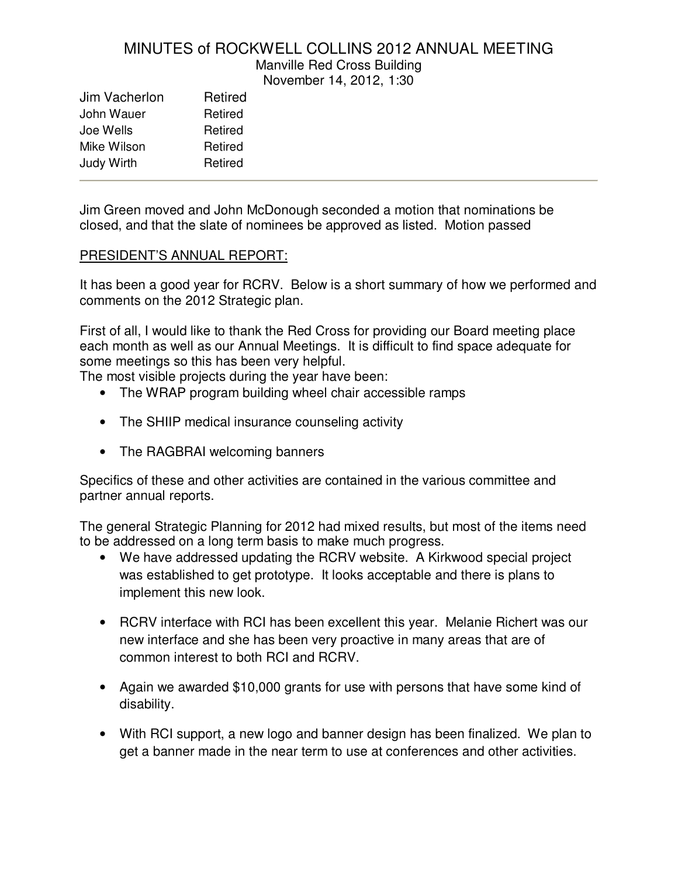Manville Red Cross Building

November 14, 2012, 1:30

| Jim Vacherlon     | Retired |
|-------------------|---------|
| John Wauer        | Retired |
| Joe Wells         | Retired |
| Mike Wilson       | Retired |
| <b>Judy Wirth</b> | Retired |
|                   |         |

Jim Green moved and John McDonough seconded a motion that nominations be closed, and that the slate of nominees be approved as listed. Motion passed

#### PRESIDENT'S ANNUAL REPORT:

It has been a good year for RCRV. Below is a short summary of how we performed and comments on the 2012 Strategic plan.

First of all, I would like to thank the Red Cross for providing our Board meeting place each month as well as our Annual Meetings. It is difficult to find space adequate for some meetings so this has been very helpful.

The most visible projects during the year have been:

- The WRAP program building wheel chair accessible ramps
- The SHIIP medical insurance counseling activity
- The RAGBRAI welcoming banners

Specifics of these and other activities are contained in the various committee and partner annual reports.

The general Strategic Planning for 2012 had mixed results, but most of the items need to be addressed on a long term basis to make much progress.

- We have addressed updating the RCRV website. A Kirkwood special project was established to get prototype. It looks acceptable and there is plans to implement this new look.
- RCRV interface with RCI has been excellent this year. Melanie Richert was our new interface and she has been very proactive in many areas that are of common interest to both RCI and RCRV.
- Again we awarded \$10,000 grants for use with persons that have some kind of disability.
- With RCI support, a new logo and banner design has been finalized. We plan to get a banner made in the near term to use at conferences and other activities.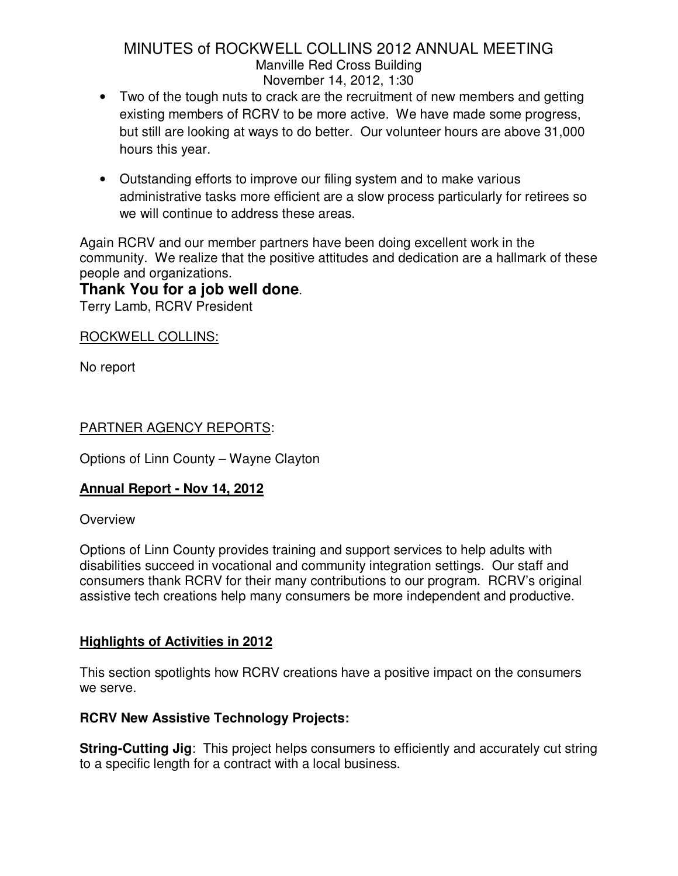- Two of the tough nuts to crack are the recruitment of new members and getting existing members of RCRV to be more active. We have made some progress, but still are looking at ways to do better. Our volunteer hours are above 31,000 hours this year.
- Outstanding efforts to improve our filing system and to make various administrative tasks more efficient are a slow process particularly for retirees so we will continue to address these areas.

Again RCRV and our member partners have been doing excellent work in the community. We realize that the positive attitudes and dedication are a hallmark of these people and organizations.

# **Thank You for a job well done**.

Terry Lamb, RCRV President

ROCKWELL COLLINS:

No report

# PARTNER AGENCY REPORTS:

Options of Linn County – Wayne Clayton

# **Annual Report - Nov 14, 2012**

#### **Overview**

Options of Linn County provides training and support services to help adults with disabilities succeed in vocational and community integration settings. Our staff and consumers thank RCRV for their many contributions to our program. RCRV's original assistive tech creations help many consumers be more independent and productive.

# **Highlights of Activities in 2012**

This section spotlights how RCRV creations have a positive impact on the consumers we serve.

#### **RCRV New Assistive Technology Projects:**

**String-Cutting Jig**: This project helps consumers to efficiently and accurately cut string to a specific length for a contract with a local business.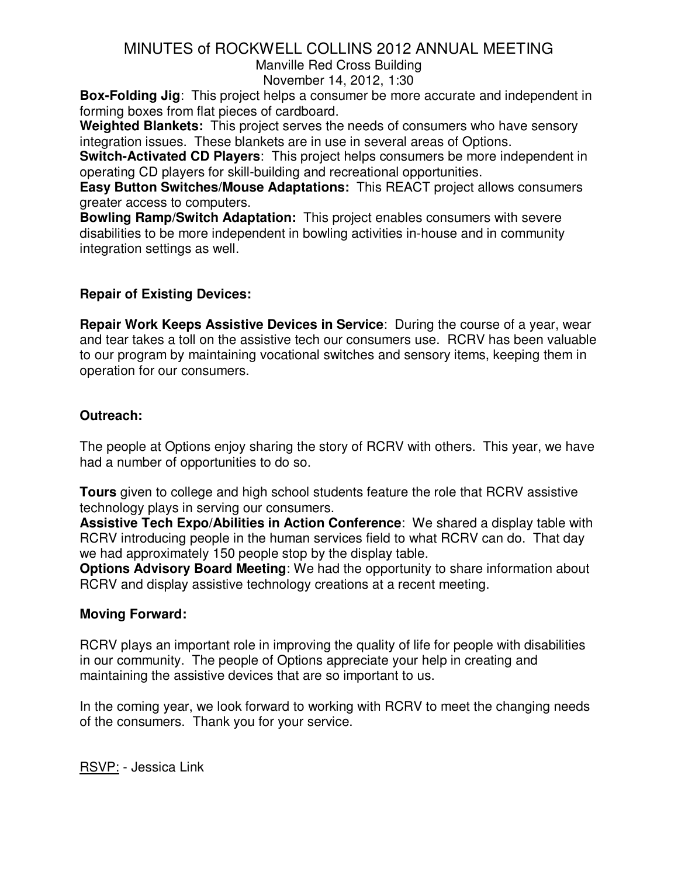Manville Red Cross Building

November 14, 2012, 1:30

**Box-Folding Jig**: This project helps a consumer be more accurate and independent in forming boxes from flat pieces of cardboard.

**Weighted Blankets:** This project serves the needs of consumers who have sensory integration issues. These blankets are in use in several areas of Options.

**Switch-Activated CD Players**: This project helps consumers be more independent in operating CD players for skill-building and recreational opportunities.

**Easy Button Switches/Mouse Adaptations:** This REACT project allows consumers greater access to computers.

**Bowling Ramp/Switch Adaptation:** This project enables consumers with severe disabilities to be more independent in bowling activities in-house and in community integration settings as well.

# **Repair of Existing Devices:**

**Repair Work Keeps Assistive Devices in Service**: During the course of a year, wear and tear takes a toll on the assistive tech our consumers use. RCRV has been valuable to our program by maintaining vocational switches and sensory items, keeping them in operation for our consumers.

### **Outreach:**

The people at Options enjoy sharing the story of RCRV with others. This year, we have had a number of opportunities to do so.

**Tours** given to college and high school students feature the role that RCRV assistive technology plays in serving our consumers.

**Assistive Tech Expo/Abilities in Action Conference**: We shared a display table with RCRV introducing people in the human services field to what RCRV can do. That day we had approximately 150 people stop by the display table.

**Options Advisory Board Meeting**: We had the opportunity to share information about RCRV and display assistive technology creations at a recent meeting.

# **Moving Forward:**

RCRV plays an important role in improving the quality of life for people with disabilities in our community. The people of Options appreciate your help in creating and maintaining the assistive devices that are so important to us.

In the coming year, we look forward to working with RCRV to meet the changing needs of the consumers. Thank you for your service.

RSVP: - Jessica Link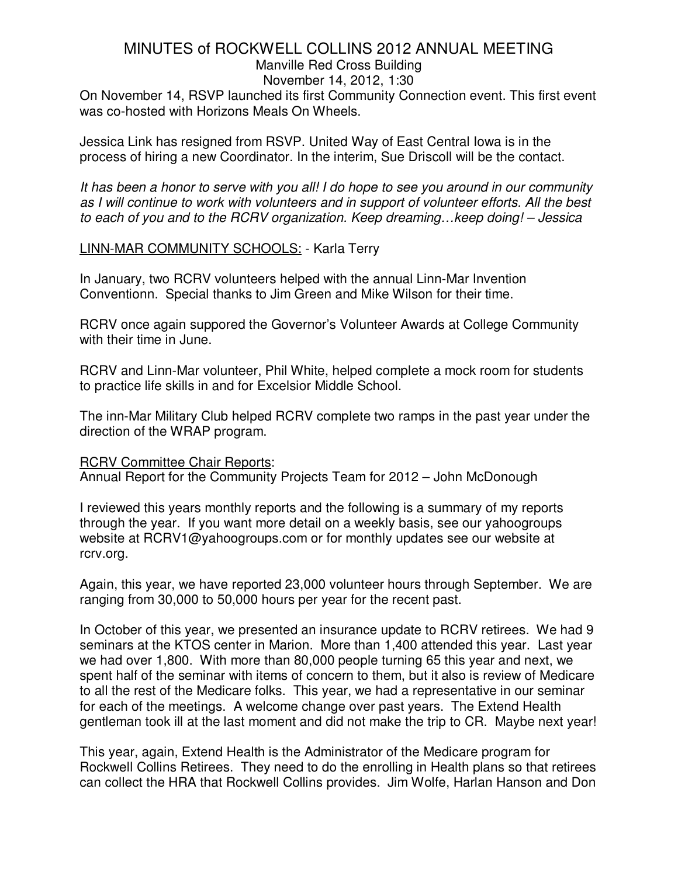Manville Red Cross Building

November 14, 2012, 1:30

On November 14, RSVP launched its first Community Connection event. This first event was co-hosted with Horizons Meals On Wheels.

Jessica Link has resigned from RSVP. United Way of East Central Iowa is in the process of hiring a new Coordinator. In the interim, Sue Driscoll will be the contact.

It has been a honor to serve with you all! I do hope to see you around in our community as I will continue to work with volunteers and in support of volunteer efforts. All the best to each of you and to the RCRV organization. Keep dreaming…keep doing! – Jessica

# LINN-MAR COMMUNITY SCHOOLS: - Karla Terry

In January, two RCRV volunteers helped with the annual Linn-Mar Invention Conventionn. Special thanks to Jim Green and Mike Wilson for their time.

RCRV once again suppored the Governor's Volunteer Awards at College Community with their time in June.

RCRV and Linn-Mar volunteer, Phil White, helped complete a mock room for students to practice life skills in and for Excelsior Middle School.

The inn-Mar Military Club helped RCRV complete two ramps in the past year under the direction of the WRAP program.

RCRV Committee Chair Reports: Annual Report for the Community Projects Team for 2012 – John McDonough

I reviewed this years monthly reports and the following is a summary of my reports through the year. If you want more detail on a weekly basis, see our yahoogroups website at RCRV1@yahoogroups.com or for monthly updates see our website at rcrv.org.

Again, this year, we have reported 23,000 volunteer hours through September. We are ranging from 30,000 to 50,000 hours per year for the recent past.

In October of this year, we presented an insurance update to RCRV retirees. We had 9 seminars at the KTOS center in Marion. More than 1,400 attended this year. Last year we had over 1,800. With more than 80,000 people turning 65 this year and next, we spent half of the seminar with items of concern to them, but it also is review of Medicare to all the rest of the Medicare folks. This year, we had a representative in our seminar for each of the meetings. A welcome change over past years. The Extend Health gentleman took ill at the last moment and did not make the trip to CR. Maybe next year!

This year, again, Extend Health is the Administrator of the Medicare program for Rockwell Collins Retirees. They need to do the enrolling in Health plans so that retirees can collect the HRA that Rockwell Collins provides. Jim Wolfe, Harlan Hanson and Don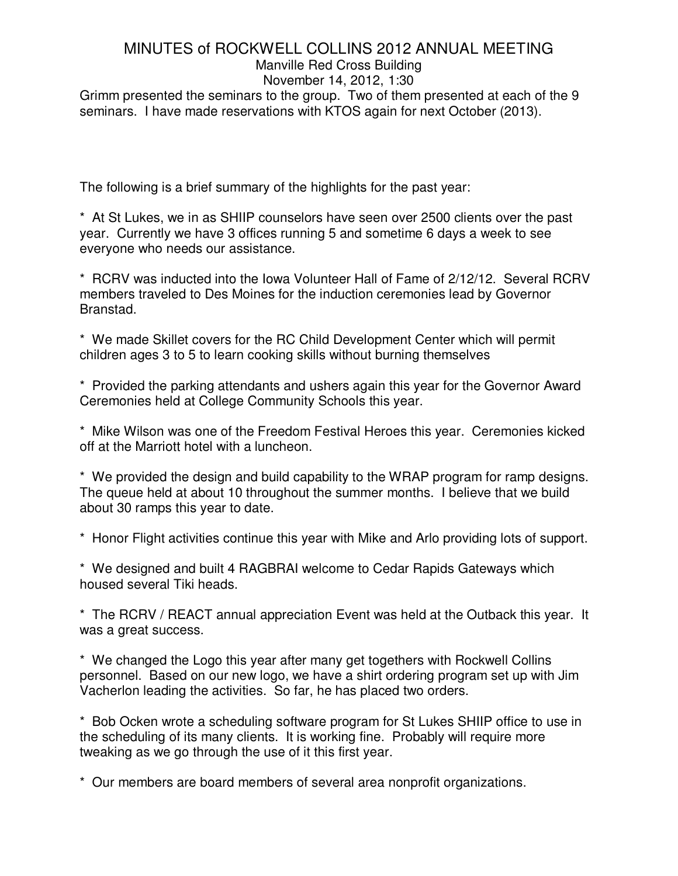#### Manville Red Cross Building

November 14, 2012, 1:30 Grimm presented the seminars to the group. Two of them presented at each of the 9 seminars. I have made reservations with KTOS again for next October (2013).

The following is a brief summary of the highlights for the past year:

\* At St Lukes, we in as SHIIP counselors have seen over 2500 clients over the past year. Currently we have 3 offices running 5 and sometime 6 days a week to see everyone who needs our assistance.

\* RCRV was inducted into the Iowa Volunteer Hall of Fame of 2/12/12. Several RCRV members traveled to Des Moines for the induction ceremonies lead by Governor Branstad.

\* We made Skillet covers for the RC Child Development Center which will permit children ages 3 to 5 to learn cooking skills without burning themselves

\* Provided the parking attendants and ushers again this year for the Governor Award Ceremonies held at College Community Schools this year.

\* Mike Wilson was one of the Freedom Festival Heroes this year. Ceremonies kicked off at the Marriott hotel with a luncheon.

\* We provided the design and build capability to the WRAP program for ramp designs. The queue held at about 10 throughout the summer months. I believe that we build about 30 ramps this year to date.

\* Honor Flight activities continue this year with Mike and Arlo providing lots of support.

\* We designed and built 4 RAGBRAI welcome to Cedar Rapids Gateways which housed several Tiki heads.

\* The RCRV / REACT annual appreciation Event was held at the Outback this year. It was a great success.

\* We changed the Logo this year after many get togethers with Rockwell Collins personnel. Based on our new logo, we have a shirt ordering program set up with Jim Vacherlon leading the activities. So far, he has placed two orders.

\* Bob Ocken wrote a scheduling software program for St Lukes SHIIP office to use in the scheduling of its many clients. It is working fine. Probably will require more tweaking as we go through the use of it this first year.

\* Our members are board members of several area nonprofit organizations.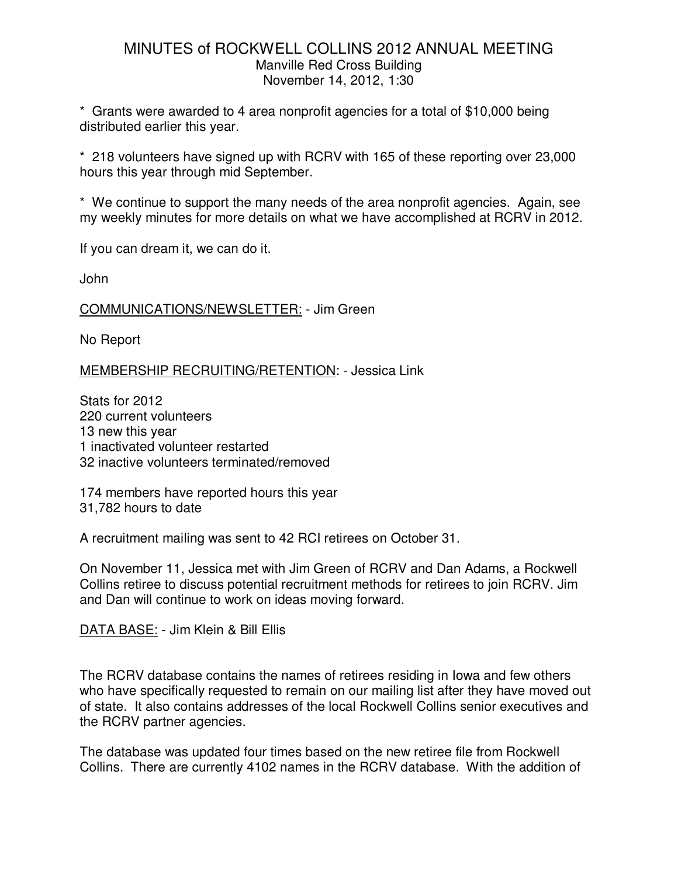\* Grants were awarded to 4 area nonprofit agencies for a total of \$10,000 being distributed earlier this year.

\* 218 volunteers have signed up with RCRV with 165 of these reporting over 23,000 hours this year through mid September.

\* We continue to support the many needs of the area nonprofit agencies. Again, see my weekly minutes for more details on what we have accomplished at RCRV in 2012.

If you can dream it, we can do it.

John

COMMUNICATIONS/NEWSLETTER: - Jim Green

No Report

MEMBERSHIP RECRUITING/RETENTION: - Jessica Link

Stats for 2012 220 current volunteers 13 new this year 1 inactivated volunteer restarted 32 inactive volunteers terminated/removed

174 members have reported hours this year 31,782 hours to date

A recruitment mailing was sent to 42 RCI retirees on October 31.

On November 11, Jessica met with Jim Green of RCRV and Dan Adams, a Rockwell Collins retiree to discuss potential recruitment methods for retirees to join RCRV. Jim and Dan will continue to work on ideas moving forward.

DATA BASE: - Jim Klein & Bill Ellis

The RCRV database contains the names of retirees residing in Iowa and few others who have specifically requested to remain on our mailing list after they have moved out of state. It also contains addresses of the local Rockwell Collins senior executives and the RCRV partner agencies.

The database was updated four times based on the new retiree file from Rockwell Collins. There are currently 4102 names in the RCRV database. With the addition of